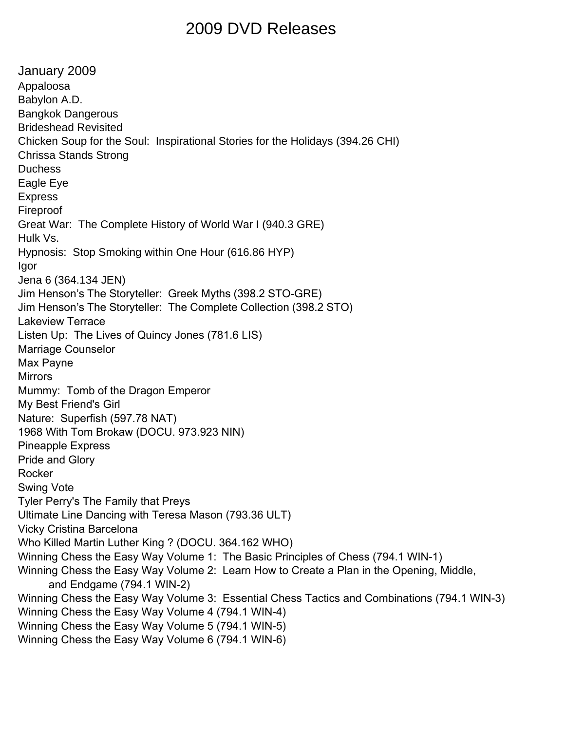## 2009 DVD Releases

January 2009 Appaloosa Babylon A.D. Bangkok Dangerous Brideshead Revisited Chicken Soup for the Soul: Inspirational Stories for the Holidays (394.26 CHI) Chrissa Stands Strong **Duchess** Eagle Eye Express Fireproof Great War: The Complete History of World War I (940.3 GRE) Hulk Vs. Hypnosis: Stop Smoking within One Hour (616.86 HYP) Igor Jena 6 (364.134 JEN) Jim Henson's The Storyteller: Greek Myths (398.2 STO-GRE) Jim Henson's The Storyteller: The Complete Collection (398.2 STO) Lakeview Terrace Listen Up: The Lives of Quincy Jones (781.6 LIS) Marriage Counselor Max Payne **Mirrors** Mummy: Tomb of the Dragon Emperor My Best Friend's Girl Nature: Superfish (597.78 NAT) 1968 With Tom Brokaw (DOCU. 973.923 NIN) Pineapple Express Pride and Glory Rocker Swing Vote Tyler Perry's The Family that Preys Ultimate Line Dancing with Teresa Mason (793.36 ULT) Vicky Cristina Barcelona Who Killed Martin Luther King ? (DOCU. 364.162 WHO) Winning Chess the Easy Way Volume 1: The Basic Principles of Chess (794.1 WIN-1) Winning Chess the Easy Way Volume 2: Learn How to Create a Plan in the Opening, Middle, and Endgame (794.1 WIN-2) Winning Chess the Easy Way Volume 3: Essential Chess Tactics and Combinations (794.1 WIN-3) Winning Chess the Easy Way Volume 4 (794.1 WIN-4) Winning Chess the Easy Way Volume 5 (794.1 WIN-5) Winning Chess the Easy Way Volume 6 (794.1 WIN-6)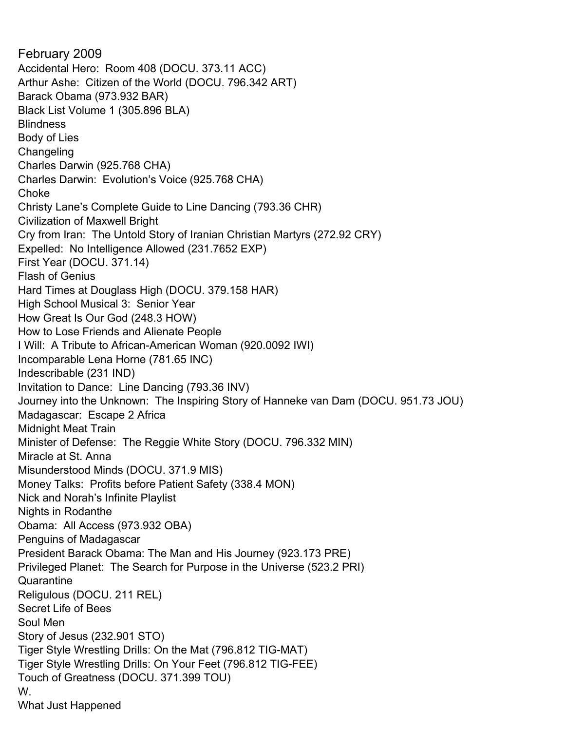February 2009 Accidental Hero: Room 408 (DOCU. 373.11 ACC) Arthur Ashe: Citizen of the World (DOCU. 796.342 ART) Barack Obama (973.932 BAR) Black List Volume 1 (305.896 BLA) Blindness Body of Lies **Changeling** Charles Darwin (925.768 CHA) Charles Darwin: Evolution's Voice (925.768 CHA) Choke Christy Lane's Complete Guide to Line Dancing (793.36 CHR) Civilization of Maxwell Bright Cry from Iran: The Untold Story of Iranian Christian Martyrs (272.92 CRY) Expelled: No Intelligence Allowed (231.7652 EXP) First Year (DOCU. 371.14) Flash of Genius Hard Times at Douglass High (DOCU. 379.158 HAR) High School Musical 3: Senior Year How Great Is Our God (248.3 HOW) How to Lose Friends and Alienate People I Will: A Tribute to African-American Woman (920.0092 IWI) Incomparable Lena Horne (781.65 INC) Indescribable (231 IND) Invitation to Dance: Line Dancing (793.36 INV) Journey into the Unknown: The Inspiring Story of Hanneke van Dam (DOCU. 951.73 JOU) Madagascar: Escape 2 Africa Midnight Meat Train Minister of Defense: The Reggie White Story (DOCU. 796.332 MIN) Miracle at St. Anna Misunderstood Minds (DOCU. 371.9 MIS) Money Talks: Profits before Patient Safety (338.4 MON) Nick and Norah's Infinite Playlist Nights in Rodanthe Obama: All Access (973.932 OBA) Penguins of Madagascar President Barack Obama: The Man and His Journey (923.173 PRE) Privileged Planet: The Search for Purpose in the Universe (523.2 PRI) **Quarantine** Religulous (DOCU. 211 REL) Secret Life of Bees Soul Men Story of Jesus (232.901 STO) Tiger Style Wrestling Drills: On the Mat (796.812 TIG-MAT) Tiger Style Wrestling Drills: On Your Feet (796.812 TIG-FEE) Touch of Greatness (DOCU. 371.399 TOU) W. What Just Happened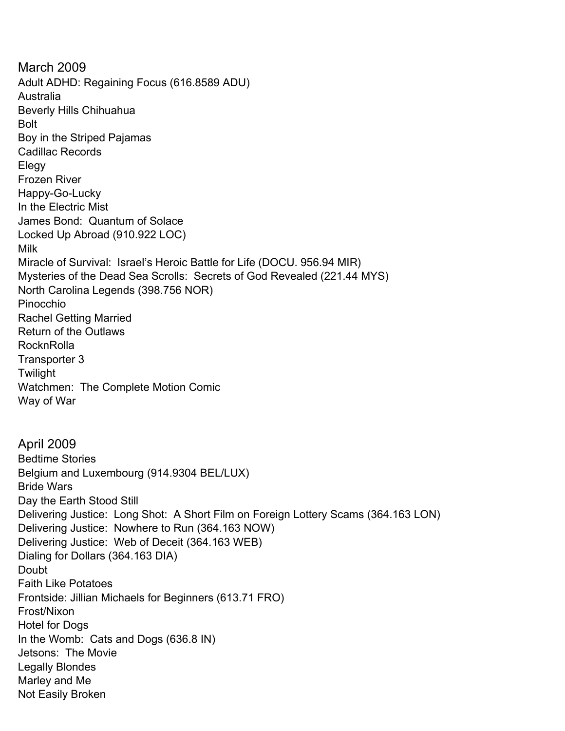March 2009 Adult ADHD: Regaining Focus (616.8589 ADU) Australia Beverly Hills Chihuahua Bolt Boy in the Striped Pajamas Cadillac Records Elegy Frozen River Happy-Go-Lucky In the Electric Mist James Bond: Quantum of Solace Locked Up Abroad (910.922 LOC) Milk Miracle of Survival: Israel's Heroic Battle for Life (DOCU. 956.94 MIR) Mysteries of the Dead Sea Scrolls: Secrets of God Revealed (221.44 MYS) North Carolina Legends (398.756 NOR) Pinocchio Rachel Getting Married Return of the Outlaws **RocknRolla** Transporter 3 Twilight Watchmen: The Complete Motion Comic Way of War April 2009 Bedtime Stories Belgium and Luxembourg (914.9304 BEL/LUX) Bride Wars Day the Earth Stood Still Delivering Justice: Long Shot: A Short Film on Foreign Lottery Scams (364.163 LON) Delivering Justice: Nowhere to Run (364.163 NOW) Delivering Justice: Web of Deceit (364.163 WEB) Dialing for Dollars (364.163 DIA) Doubt Faith Like Potatoes Frontside: Jillian Michaels for Beginners (613.71 FRO) Frost/Nixon Hotel for Dogs In the Womb: Cats and Dogs (636.8 IN) Jetsons: The Movie Legally Blondes Marley and Me Not Easily Broken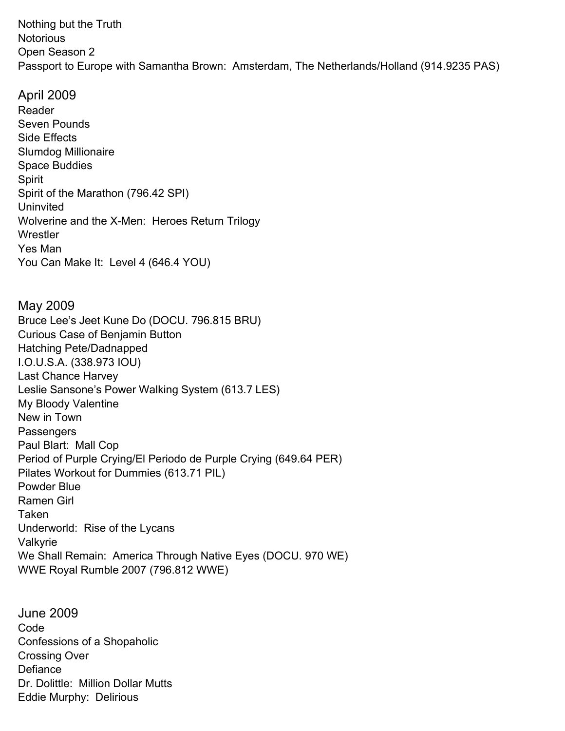Nothing but the Truth **Notorious** Open Season 2 Passport to Europe with Samantha Brown: Amsterdam, The Netherlands/Holland (914.9235 PAS)

April 2009 Reader Seven Pounds Side Effects Slumdog Millionaire Space Buddies Spirit Spirit of the Marathon (796.42 SPI) Uninvited Wolverine and the X-Men: Heroes Return Trilogy **Wrestler** Yes Man You Can Make It: Level 4 (646.4 YOU)

May 2009 Bruce Lee's Jeet Kune Do (DOCU. 796.815 BRU) Curious Case of Benjamin Button Hatching Pete/Dadnapped I.O.U.S.A. (338.973 IOU) Last Chance Harvey Leslie Sansone's Power Walking System (613.7 LES) My Bloody Valentine New in Town **Passengers** Paul Blart: Mall Cop Period of Purple Crying/El Periodo de Purple Crying (649.64 PER) Pilates Workout for Dummies (613.71 PIL) Powder Blue Ramen Girl Taken Underworld: Rise of the Lycans Valkyrie We Shall Remain: America Through Native Eyes (DOCU. 970 WE) WWE Royal Rumble 2007 (796.812 WWE)

June 2009 Code Confessions of a Shopaholic Crossing Over **Defiance** Dr. Dolittle: Million Dollar Mutts Eddie Murphy: Delirious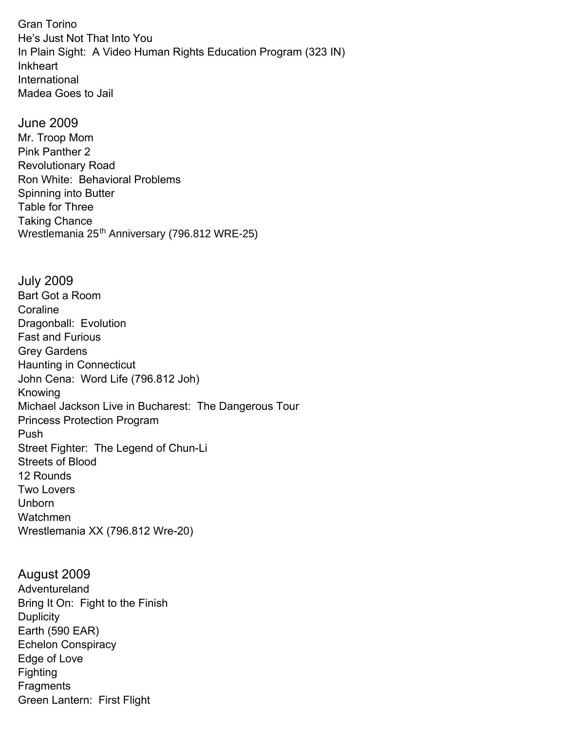Gran Torino He's Just Not That Into You In Plain Sight: A Video Human Rights Education Program (323 IN) Inkheart International Madea Goes to Jail

June 2009 Mr. Troop Mom Pink Panther 2 Revolutionary Road Ron White: Behavioral Problems Spinning into Butter Table for Three Taking Chance Wrestlemania 25<sup>th</sup> Anniversary (796.812 WRE-25)

July 2009 Bart Got a Room **Coraline** Dragonball: Evolution Fast and Furious Grey Gardens Haunting in Connecticut John Cena: Word Life (796.812 Joh) Knowing Michael Jackson Live in Bucharest: The Dangerous Tour Princess Protection Program Push Street Fighter: The Legend of Chun-Li Streets of Blood 12 Rounds Two Lovers Unborn Watchmen Wrestlemania XX (796.812 Wre-20)

August 2009 Adventureland Bring It On: Fight to the Finish **Duplicity** Earth (590 EAR) Echelon Conspiracy Edge of Love Fighting **Fragments** Green Lantern: First Flight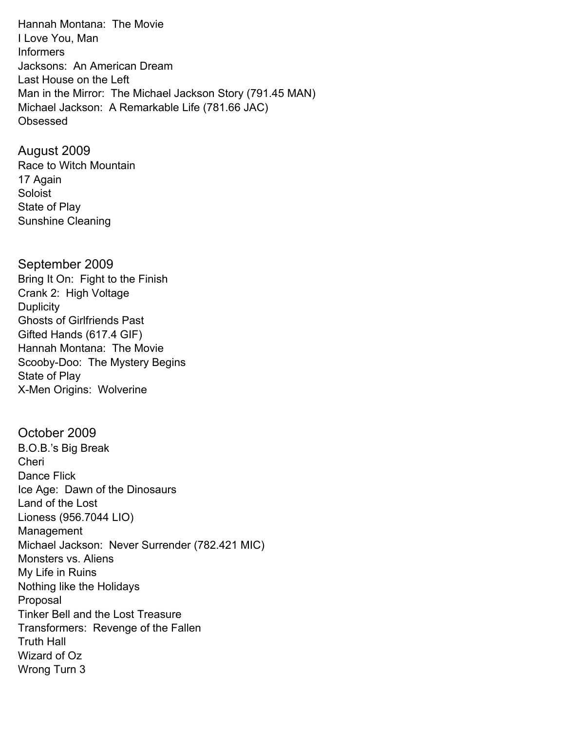Hannah Montana: The Movie I Love You, Man Informers Jacksons: An American Dream Last House on the Left Man in the Mirror: The Michael Jackson Story (791.45 MAN) Michael Jackson: A Remarkable Life (781.66 JAC) Obsessed

August 2009 Race to Witch Mountain 17 Again Soloist State of Play Sunshine Cleaning

September 2009 Bring It On: Fight to the Finish Crank 2: High Voltage **Duplicity** Ghosts of Girlfriends Past Gifted Hands (617.4 GIF) Hannah Montana: The Movie Scooby-Doo: The Mystery Begins State of Play X-Men Origins: Wolverine

October 2009 B.O.B.'s Big Break Cheri Dance Flick Ice Age: Dawn of the Dinosaurs Land of the Lost Lioness (956.7044 LIO) Management Michael Jackson: Never Surrender (782.421 MIC) Monsters vs. Aliens My Life in Ruins Nothing like the Holidays Proposal Tinker Bell and the Lost Treasure Transformers: Revenge of the Fallen Truth Hall Wizard of Oz Wrong Turn 3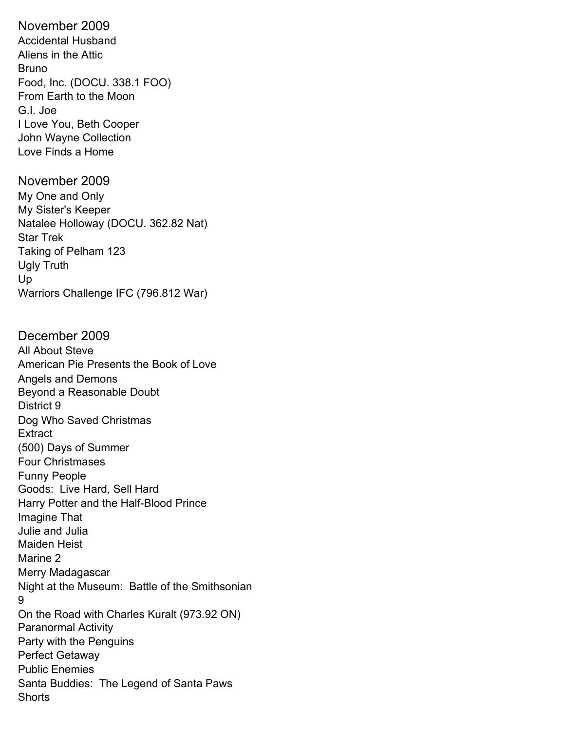November 2009 Accidental Husband Aliens in the Attic Bruno Food, Inc. (DOCU. 338.1 FOO) From Earth to the Moon G.I. Joe I Love You, Beth Cooper John Wayne Collection Love Finds a Home

November 2009 My One and Only My Sister's Keeper Natalee Holloway (DOCU. 362.82 Nat) Star Trek Taking of Pelham 123 Ugly Truth Up Warriors Challenge IFC (796.812 War)

December 2009 All About Steve American Pie Presents the Book of Love Angels and Demons Beyond a Reasonable Doubt District 9 Dog Who Saved Christmas **Extract** (500) Days of Summer Four Christmases Funny People Goods: Live Hard, Sell Hard Harry Potter and the Half-Blood Prince Imagine That Julie and Julia Maiden Heist Marine 2 Merry Madagascar Night at the Museum: Battle of the Smithsonian 9 On the Road with Charles Kuralt (973.92 ON) Paranormal Activity Party with the Penguins Perfect Getaway Public Enemies Santa Buddies: The Legend of Santa Paws **Shorts**